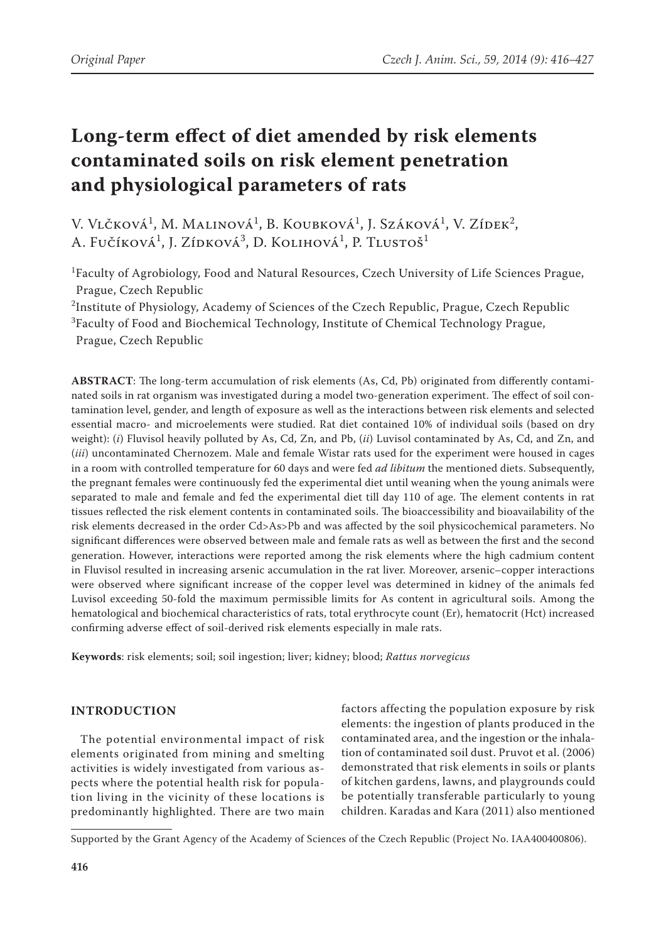# **Long-term effect of diet amended by risk elements contaminated soils on risk element penetration and physiological parameters of rats**

V. Vlčková<sup>1</sup>, M. Malinová<sup>1</sup>, B. Koubková<sup>1</sup>, J. Száková<sup>1</sup>, V. Zídek<sup>2</sup>, A. Fučíková<sup>1</sup>, J. Zídková<sup>3</sup>, D. Kolihová<sup>1</sup>, P. Tlustoš<sup>1</sup>

1 Faculty of Agrobiology, Food and Natural Resources, Czech University of Life Sciences Prague, Prague, Czech Republic

 $^2$ Institute of Physiology, Academy of Sciences of the Czech Republic, Prague, Czech Republic

3 Faculty of Food and Biochemical Technology, Institute of Chemical Technology Prague, Prague, Czech Republic

**ABSTRACT**: The long-term accumulation of risk elements (As, Cd, Pb) originated from differently contaminated soils in rat organism was investigated during a model two-generation experiment. The effect of soil contamination level, gender, and length of exposure as well as the interactions between risk elements and selected essential macro- and microelements were studied. Rat diet contained 10% of individual soils (based on dry weight): (*i*) Fluvisol heavily polluted by As, Cd, Zn, and Pb, (*ii*) Luvisol contaminated by As, Cd, and Zn, and (*iii*) uncontaminated Chernozem. Male and female Wistar rats used for the experiment were housed in cages in a room with controlled temperature for 60 days and were fed *ad libitum* the mentioned diets. Subsequently, the pregnant females were continuously fed the experimental diet until weaning when the young animals were separated to male and female and fed the experimental diet till day 110 of age. The element contents in rat tissues reflected the risk element contents in contaminated soils. The bioaccessibility and bioavailability of the risk elements decreased in the order Cd>As>Pb and was affected by the soil physicochemical parameters. No significant differences were observed between male and female rats as well as between the first and the second generation. However, interactions were reported among the risk elements where the high cadmium content in Fluvisol resulted in increasing arsenic accumulation in the rat liver. Moreover, arsenic–copper interactions were observed where significant increase of the copper level was determined in kidney of the animals fed Luvisol exceeding 50-fold the maximum permissible limits for As content in agricultural soils. Among the hematological and biochemical characteristics of rats, total erythrocyte count (Er), hematocrit (Hct) increased confirming adverse effect of soil-derived risk elements especially in male rats.

**Keywords**: risk elements; soil; soil ingestion; liver; kidney; blood; *Rattus norvegicus*

# **INTRODUCTION**

The potential environmental impact of risk elements originated from mining and smelting activities is widely investigated from various aspects where the potential health risk for population living in the vicinity of these locations is predominantly highlighted. There are two main factors affecting the population exposure by risk elements: the ingestion of plants produced in the contaminated area, and the ingestion or the inhalation of contaminated soil dust. Pruvot et al. (2006) demonstrated that risk elements in soils or plants of kitchen gardens, lawns, and playgrounds could be potentially transferable particularly to young children. Karadas and Kara (2011) also mentioned

Supported by the Grant Agency of the Academy of Sciences of the Czech Republic (Project No. IAA400400806).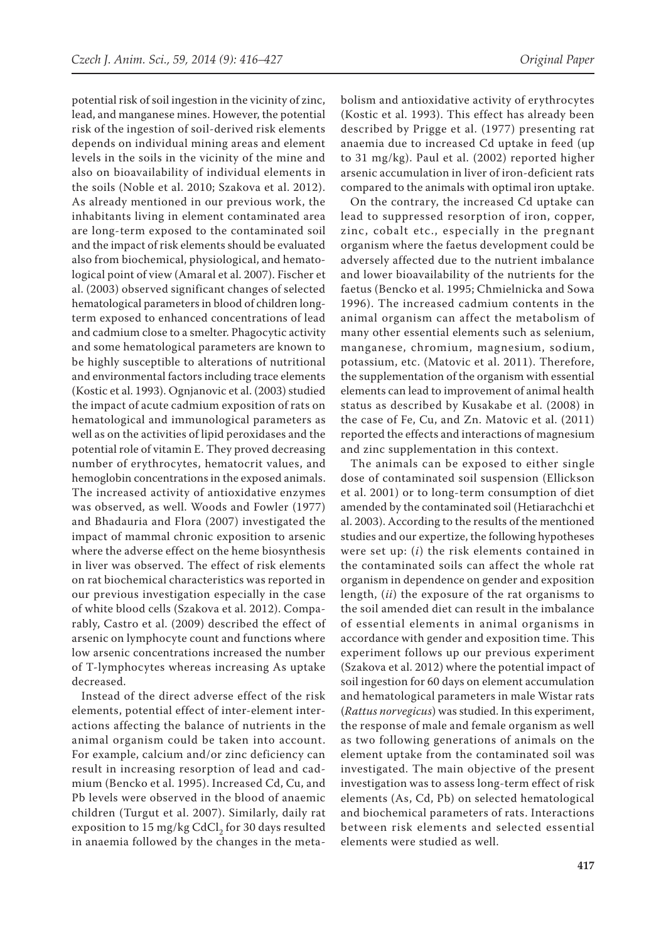potential risk of soil ingestion in the vicinity of zinc, lead, and manganese mines. However, the potential risk of the ingestion of soil-derived risk elements depends on individual mining areas and element levels in the soils in the vicinity of the mine and also on bioavailability of individual elements in the soils (Noble et al. 2010; Szakova et al. 2012). As already mentioned in our previous work, the inhabitants living in element contaminated area are long-term exposed to the contaminated soil and the impact of risk elements should be evaluated also from biochemical, physiological, and hematological point of view (Amaral et al. 2007). Fischer et al. (2003) observed significant changes of selected hematological parameters in blood of children longterm exposed to enhanced concentrations of lead and cadmium close to a smelter. Phagocytic activity and some hematological parameters are known to be highly susceptible to alterations of nutritional and environmental factors including trace elements (Kostic et al. 1993). Ognjanovic et al. (2003) studied the impact of acute cadmium exposition of rats on hematological and immunological parameters as well as on the activities of lipid peroxidases and the potential role of vitamin E. They proved decreasing number of erythrocytes, hematocrit values, and hemoglobin concentrations in the exposed animals. The increased activity of antioxidative enzymes was observed, as well. Woods and Fowler (1977) and Bhadauria and Flora (2007) investigated the impact of mammal chronic exposition to arsenic where the adverse effect on the heme biosynthesis in liver was observed. The effect of risk elements on rat biochemical characteristics was reported in our previous investigation especially in the case of white blood cells (Szakova et al. 2012). Comparably, Castro et al. (2009) described the effect of arsenic on lymphocyte count and functions where low arsenic concentrations increased the number of T-lymphocytes whereas increasing As uptake decreased.

Instead of the direct adverse effect of the risk elements, potential effect of inter-element interactions affecting the balance of nutrients in the animal organism could be taken into account. For example, calcium and/or zinc deficiency can result in increasing resorption of lead and cadmium (Bencko et al. 1995). Increased Cd, Cu, and Pb levels were observed in the blood of anaemic children (Turgut et al. 2007). Similarly, daily rat exposition to 15 mg/kg CdCl<sub>2</sub> for 30 days resulted in anaemia followed by the changes in the metabolism and antioxidative activity of erythrocytes (Kostic et al. 1993). This effect has already been described by Prigge et al. (1977) presenting rat anaemia due to increased Cd uptake in feed (up to 31 mg/kg). Paul et al. (2002) reported higher arsenic accumulation in liver of iron-deficient rats compared to the animals with optimal iron uptake.

On the contrary, the increased Cd uptake can lead to suppressed resorption of iron, copper, zinc, cobalt etc., especially in the pregnant organism where the faetus development could be adversely affected due to the nutrient imbalance and lower bioavailability of the nutrients for the faetus (Bencko et al. 1995; Chmielnicka and Sowa 1996). The increased cadmium contents in the animal organism can affect the metabolism of many other essential elements such as selenium, manganese, chromium, magnesium, sodium, potassium, etc. (Matovic et al. 2011). Therefore, the supplementation of the organism with essential elements can lead to improvement of animal health status as described by Kusakabe et al. (2008) in the case of Fe, Cu, and Zn. Matovic et al. (2011) reported the effects and interactions of magnesium and zinc supplementation in this context.

The animals can be exposed to either single dose of contaminated soil suspension (Ellickson et al. 2001) or to long-term consumption of diet amended by the contaminated soil (Hetiarachchi et al. 2003). According to the results of the mentioned studies and our expertize, the following hypotheses were set up: (*i*) the risk elements contained in the contaminated soils can affect the whole rat organism in dependence on gender and exposition length, (*ii*) the exposure of the rat organisms to the soil amended diet can result in the imbalance of essential elements in animal organisms in accordance with gender and exposition time. This experiment follows up our previous experiment (Szakova et al. 2012) where the potential impact of soil ingestion for 60 days on element accumulation and hematological parameters in male Wistar rats (*Rattus norvegicus*) was studied. In this experiment, the response of male and female organism as well as two following generations of animals on the element uptake from the contaminated soil was investigated. The main objective of the present investigation was to assess long-term effect of risk elements (As, Cd, Pb) on selected hematological and biochemical parameters of rats. Interactions between risk elements and selected essential elements were studied as well.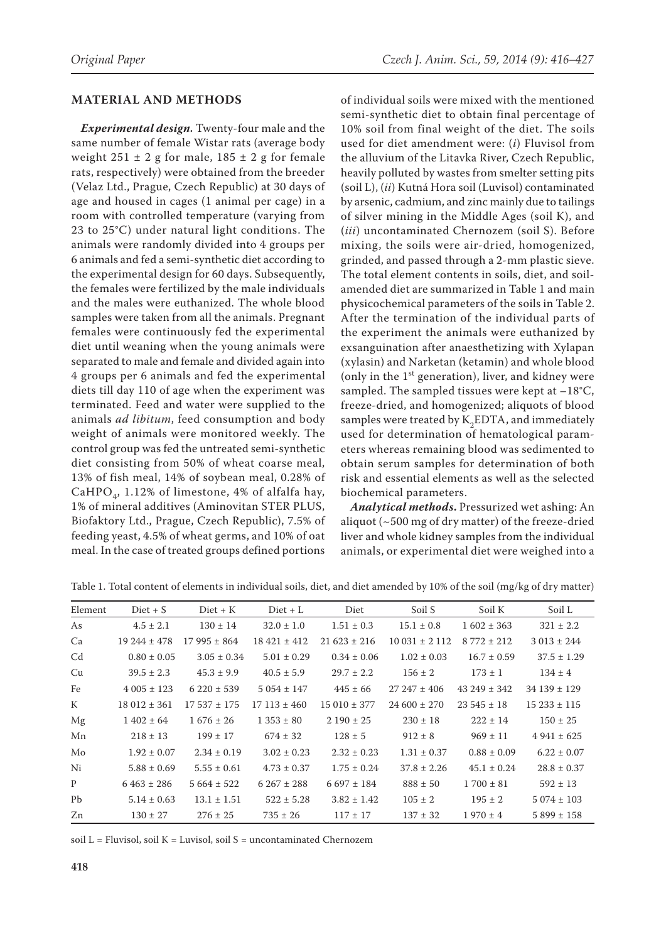#### **MATERIAL AND METHODS**

*Experimental design.* Twenty-four male and the same number of female Wistar rats (average body weight  $251 \pm 2$  g for male,  $185 \pm 2$  g for female rats, respectively) were obtained from the breeder (Velaz Ltd., Prague, Czech Republic) at 30 days of age and housed in cages (1 animal per cage) in a room with controlled temperature (varying from 23 to 25°C) under natural light conditions. The animals were randomly divided into 4 groups per 6 animals and fed a semi-synthetic diet according to the experimental design for 60 days. Subsequently, the females were fertilized by the male individuals and the males were euthanized. The whole blood samples were taken from all the animals. Pregnant females were continuously fed the experimental diet until weaning when the young animals were separated to male and female and divided again into 4 groups per 6 animals and fed the experimental diets till day 110 of age when the experiment was terminated. Feed and water were supplied to the animals *ad libitum*, feed consumption and body weight of animals were monitored weekly. The control group was fed the untreated semi-synthetic diet consisting from 50% of wheat coarse meal, 13% of fish meal, 14% of soybean meal, 0.28% of CaHPO<sub>4</sub>, 1.12% of limestone, 4% of alfalfa hay, 1% of mineral additives (Aminovitan STER PLUS, Biofaktory Ltd., Prague, Czech Republic), 7.5% of feeding yeast, 4.5% of wheat germs, and 10% of oat meal. In the case of treated groups defined portions

of individual soils were mixed with the mentioned semi-synthetic diet to obtain final percentage of 10% soil from final weight of the diet. The soils used for diet amendment were: (*i*) Fluvisol from the alluvium of the Litavka River, Czech Republic, heavily polluted by wastes from smelter setting pits (soil L), (*ii*) Kutná Hora soil (Luvisol) contaminated by arsenic, cadmium, and zinc mainly due to tailings of silver mining in the Middle Ages (soil K), and (*iii*) uncontaminated Chernozem (soil S). Before mixing, the soils were air-dried, homogenized, grinded, and passed through a 2-mm plastic sieve. The total element contents in soils, diet, and soilamended diet are summarized in Table 1 and main physicochemical parameters of the soils in Table 2. After the termination of the individual parts of the experiment the animals were euthanized by exsanguination after anaesthetizing with Xylapan (xylasin) and Narketan (ketamin) and whole blood (only in the  $1<sup>st</sup>$  generation), liver, and kidney were sampled. The sampled tissues were kept at  $-18^{\circ}$ C, freeze-dried, and homogenized; aliquots of blood samples were treated by  $K_2EDTA$ , and immediately used for determination of hematological parameters whereas remaining blood was sedimented to obtain serum samples for determination of both risk and essential elements as well as the selected biochemical parameters.

*Analytical methods***.** Pressurized wet ashing: An aliquot (~500 mg of dry matter) of the freeze-dried liver and whole kidney samples from the individual animals, or experimental diet were weighed into a

| Element        | $Diet + S$      | $Diet + K$      | $Diet + L$      | Diet            | Soil S            | Soil K          | Soil L          |
|----------------|-----------------|-----------------|-----------------|-----------------|-------------------|-----------------|-----------------|
| As             | $4.5 \pm 2.1$   | $130 \pm 14$    | $32.0 \pm 1.0$  | $1.51 \pm 0.3$  | $15.1 \pm 0.8$    | $1602 \pm 363$  | $321 \pm 2.2$   |
| Ca             | $19244 \pm 478$ | $17995 \pm 864$ | $18421 \pm 412$ | $21623 \pm 216$ | $10031 \pm 2112$  | $8772 \pm 212$  | $3013 \pm 244$  |
| C <sub>d</sub> | $0.80 \pm 0.05$ | $3.05 \pm 0.34$ | $5.01 \pm 0.29$ | $0.34 \pm 0.06$ | $1.02 \pm 0.03$   | $16.7 \pm 0.59$ | $37.5 \pm 1.29$ |
| Cu             | $39.5 \pm 2.3$  | $45.3 \pm 9.9$  | $40.5 \pm 5.9$  | $29.7 \pm 2.2$  | $156 \pm 2$       | $173 \pm 1$     | $134 \pm 4$     |
| Fe             | $4005 \pm 123$  | $6220 \pm 539$  | $5054 \pm 147$  | $445 \pm 66$    | $27\,247 \pm 406$ | $43249 \pm 342$ | $34139 \pm 129$ |
| K              | $18012 \pm 361$ | $17537 \pm 175$ | $17113 \pm 460$ | $15010 \pm 377$ | $24600 \pm 270$   | $23545 \pm 18$  | $15233 \pm 115$ |
| Mg             | $1402 \pm 64$   | $1676 \pm 26$   | $1353 \pm 80$   | $2190 \pm 25$   | $230 \pm 18$      | $222 \pm 14$    | $150 \pm 25$    |
| Mn             | $218 \pm 13$    | $199 \pm 17$    | $674 \pm 32$    | $128 \pm 5$     | $912 \pm 8$       | $969 \pm 11$    | $4941 \pm 625$  |
| Mo             | $1.92 \pm 0.07$ | $2.34 \pm 0.19$ | $3.02 \pm 0.23$ | $2.32 \pm 0.23$ | $1.31 \pm 0.37$   | $0.88 \pm 0.09$ | $6.22 \pm 0.07$ |
| Ni             | $5.88 \pm 0.69$ | $5.55 \pm 0.61$ | $4.73 \pm 0.37$ | $1.75 \pm 0.24$ | $37.8 \pm 2.26$   | $45.1 \pm 0.24$ | $28.8 \pm 0.37$ |
| P              | $6463 \pm 286$  | $5664 \pm 522$  | $6267 \pm 288$  | $6.697 \pm 184$ | $888 \pm 50$      | $1700 \pm 81$   | $592 \pm 13$    |
| Pb             | $5.14 \pm 0.63$ | $13.1 \pm 1.51$ | $522 \pm 5.28$  | $3.82 \pm 1.42$ | $105 \pm 2$       | $195 \pm 2$     | $5074 \pm 103$  |
| Zn             | $130 \pm 27$    | $276 \pm 25$    | $735 \pm 26$    | $117 \pm 17$    | $137 \pm 32$      | $1970 \pm 4$    | $5899 \pm 158$  |

Table 1. Total content of elements in individual soils, diet, and diet amended by 10% of the soil (mg/kg of dry matter)

soil  $L =$  Fluvisol, soil  $K =$  Luvisol, soil  $S =$  uncontaminated Chernozem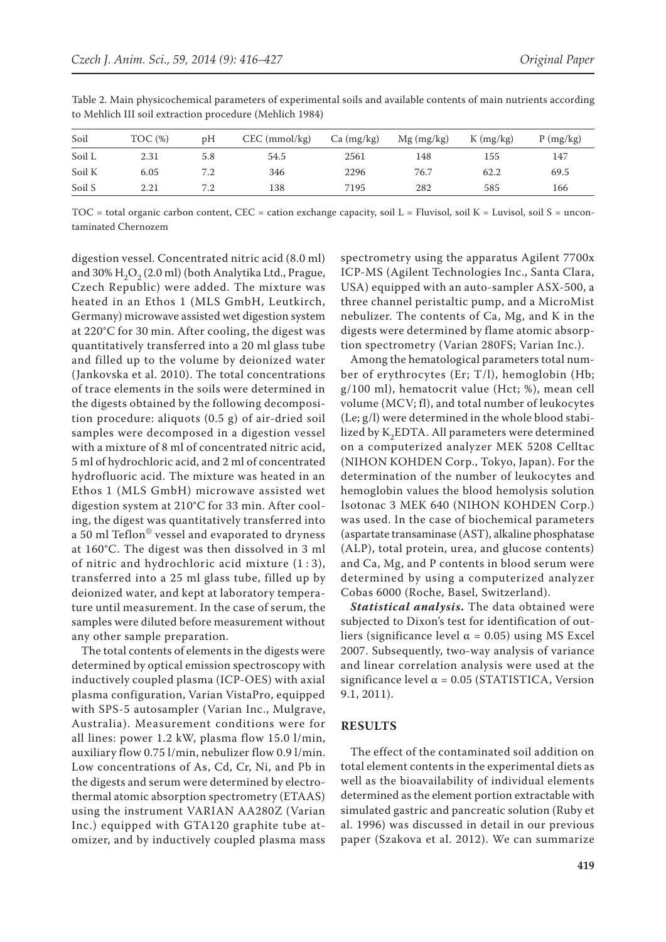| Soil   | TOC(%) | pΗ  | $CEC$ (mmol/kg) | Ca (mg/kg) | $Mg$ (mg/kg) | $K$ (mg/kg) | P(mg/kg) |
|--------|--------|-----|-----------------|------------|--------------|-------------|----------|
| Soil L | 2.31   | 5.8 | 54.5            | 2561       | 148          | 155         | 147      |
| Soil K | 6.05   | 7.2 | 346             | 2296       | 76.7         | 62.2        | 69.5     |
| Soil S | 2.21   | 7.2 | 138             | 7195       | 282          | 585         | 166      |

Table 2. Main physicochemical parameters of experimental soils and available contents of main nutrients according to Mehlich III soil extraction procedure (Mehlich 1984)

TOC = total organic carbon content, CEC = cation exchange capacity, soil L = Fluvisol, soil K = Luvisol, soil S = uncontaminated Chernozem

digestion vessel. Concentrated nitric acid (8.0 ml) and 30%  $H_2O_2$  (2.0 ml) (both Analytika Ltd., Prague, Czech Republic) were added. The mixture was heated in an Ethos 1 (MLS GmbH, Leutkirch, Germany) microwave assisted wet digestion system at 220°C for 30 min. After cooling, the digest was quantitatively transferred into a 20 ml glass tube and filled up to the volume by deionized water (Jankovska et al. 2010). The total concentrations of trace elements in the soils were determined in the digests obtained by the following decomposition procedure: aliquots (0.5 g) of air-dried soil samples were decomposed in a digestion vessel with a mixture of 8 ml of concentrated nitric acid, 5 ml of hydrochloric acid, and 2 ml of concentrated hydrofluoric acid. The mixture was heated in an Ethos 1 (MLS GmbH) microwave assisted wet digestion system at 210°C for 33 min. After cooling, the digest was quantitatively transferred into a 50 ml Teflon® vessel and evaporated to dryness at 160°C. The digest was then dissolved in 3 ml of nitric and hydrochloric acid mixture (1 : 3), transferred into a 25 ml glass tube, filled up by deionized water, and kept at laboratory temperature until measurement. In the case of serum, the samples were diluted before measurement without any other sample preparation.

The total contents of elements in the digests were determined by optical emission spectroscopy with inductively coupled plasma (ICP-OES) with axial plasma configuration, Varian VistaPro, equipped with SPS-5 autosampler (Varian Inc., Mulgrave, Australia). Measurement conditions were for all lines: power 1.2 kW, plasma flow 15.0 l/min, auxiliary flow 0.75 l/min, nebulizer flow 0.9 l/min. Low concentrations of As, Cd, Cr, Ni, and Pb in the digests and serum were determined by electrothermal atomic absorption spectrometry (ETAAS) using the instrument VARIAN AA280Z (Varian Inc.) equipped with GTA120 graphite tube atomizer, and by inductively coupled plasma mass spectrometry using the apparatus Agilent 7700x ICP-MS (Agilent Technologies Inc., Santa Clara, USA) equipped with an auto-sampler ASX-500, a three channel peristaltic pump, and a MicroMist nebulizer. The contents of Ca, Mg, and K in the digests were determined by flame atomic absorption spectrometry (Varian 280FS; Varian Inc.).

Among the hematological parameters total number of erythrocytes (Er; T/l), hemoglobin (Hb; g/100 ml), hematocrit value (Hct; %), mean cell volume (MCV; fl), and total number of leukocytes (Le; g/l) were determined in the whole blood stabilized by K<sub>2</sub>EDTA. All parameters were determined on a computerized analyzer MEK 5208 Celltac (NIHON KOHDEN Corp., Tokyo, Japan). For the determination of the number of leukocytes and hemoglobin values the blood hemolysis solution Isotonac 3 MEK 640 (NIHON KOHDEN Corp.) was used. In the case of biochemical parameters (aspartate transaminase (AST), alkaline phosphatase (ALP), total protein, urea, and glucose contents) and Ca, Mg, and P contents in blood serum were determined by using a computerized analyzer Cobas 6000 (Roche, Basel, Switzerland).

*Statistical analysis***.** The data obtained were subjected to Dixon's test for identification of outliers (significance level  $α = 0.05$ ) using MS Excel 2007. Subsequently, two-way analysis of variance and linear correlation analysis were used at the significance level  $\alpha$  = 0.05 (STATISTICA, Version 9.1, 2011).

## **RESULTS**

The effect of the contaminated soil addition on total element contents in the experimental diets as well as the bioavailability of individual elements determined as the element portion extractable with simulated gastric and pancreatic solution (Ruby et al. 1996) was discussed in detail in our previous paper (Szakova et al. 2012). We can summarize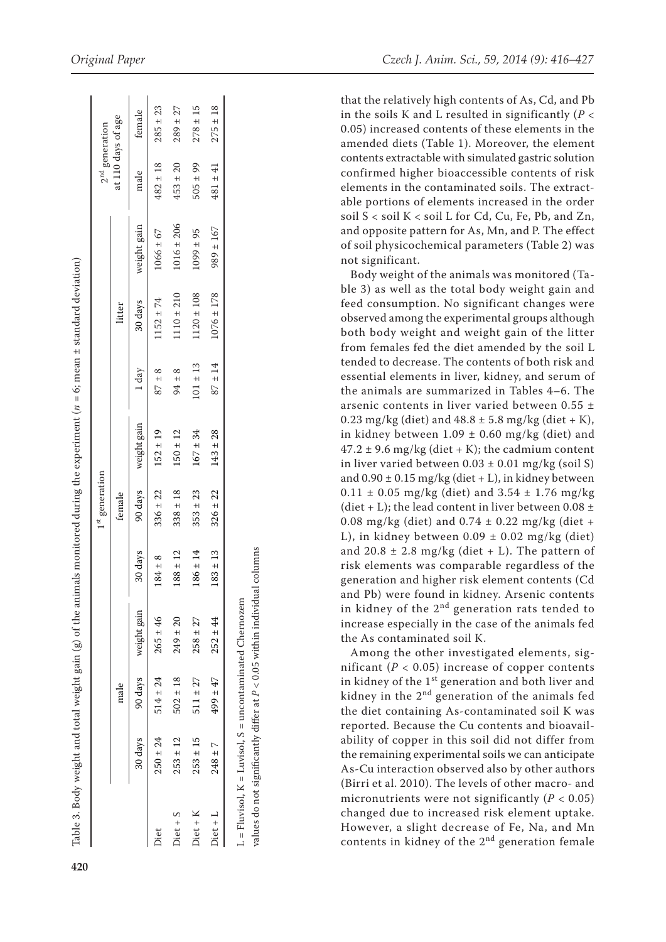|                                                                                                                                    | $2^{\rm nd}$ generation    | it 110 days of age | male female                 | $482 \pm 18$ $285 \pm 23$              |
|------------------------------------------------------------------------------------------------------------------------------------|----------------------------|--------------------|-----------------------------|----------------------------------------|
|                                                                                                                                    |                            |                    | 30 days weight gain         |                                        |
|                                                                                                                                    |                            | litter             |                             | $87 \pm 8$ $1152 \pm 74$ $1066 \pm 67$ |
|                                                                                                                                    |                            |                    | 1 day                       |                                        |
|                                                                                                                                    |                            |                    |                             |                                        |
|                                                                                                                                    | 1 <sup>st</sup> generation | female             | 30 days 90 days weight gain | $184 \pm 8$ $336 \pm 22$ $152 \pm 19$  |
| Table 3. Body weight and total weight gain (g) of the animals monitored during the experiment ( $n=6$ ; mean ± standard deviation) |                            |                    |                             |                                        |
|                                                                                                                                    |                            |                    |                             | $265 \pm 46$                           |
|                                                                                                                                    |                            | male               | 30 days 90 days weight gain | $250 \pm 24$ $514 \pm 24$              |
|                                                                                                                                    |                            |                    |                             |                                        |
|                                                                                                                                    |                            |                    |                             | jiet                                   |

Diet 250 ± 24 514 ± 24 265 ± 46 184 ± 8 336 ± 22 152 ± 19 87 ± 8 1152 ± 74 1066 ± 67 482 ± 18 285 ± 23  $\rm{Dict} + S$   $\rm{253 \pm 12}$   $\rm{502 \pm 18}$   $\rm{249 \pm 20}$   $\rm{188 \pm 12}$   $\rm{338 \pm 18}$   $\rm{150 \pm 18}$   $\rm{25 \pm 28}$   $\rm{26 \pm 12}$   $\rm{289 \pm 27}$ Diet + K 253 ± 15 511 ± 27 258 ± 27 186 ± 14 353 ± 23 167 ± 34 101 ± 13 1120 ± 108 1099 ± 95 505 ± 99 278 ± 15 Diet + L 248 ± 7 499 ± 47 252 ± 44 183 ± 13 326 ± 22 143 ± 28 87 ± 14 1076 ± 178 989 ± 167 481 ± 41 275 ± 18

 $338 \pm 18$  $353 \pm 23$  $326 \pm 22$ 

 $502 \pm 18$  $511 \pm 27$  $499 \pm 47$ 

 $253 \pm 12$ 

 $$$$ 

 $253 \pm 15$ 

 $Diet + K$  $$$$$$ 

 $248 \pm 7$ 

 $183 \pm 13$ 

 $252 \pm 44$ 

 $K = Luvisol, S = uncontanninated Chernozem$ L = Fluvisol, K = Luvisol, S = uncontaminated Chernozem  $L = Fluvisol,$ 

values do not significantly differ at  $P < 0.05$  within individual columns values do not significantly differ at *P* < 0.05 within individual columns

that the relatively high contents of As, Cd, and Pb in the soils K and L resulted in significantly ( *P* < 0.05) increased contents of these elements in the amended diets (Table 1). Moreover, the element contents extractable with simulated gastric solution confirmed higher bioaccessible contents of risk elements in the contaminated soils. The extract able portions of elements increased in the order soil S < soil K < soil L for Cd, Cu, Fe, Pb, and Zn, and opposite pattern for As, Mn, and P. The effect of soil physicochemical parameters (Table 2) was not significant.

Body weight of the animals was monitored (Ta ble 3) as well as the total body weight gain and feed consumption. No significant changes were observed among the experimental groups although both body weight and weight gain of the litter from females fed the diet amended by the soil L tended to decrease. The contents of both risk and essential elements in liver, kidney, and serum of the animals are summarized in Tables 4–6. The arsenic contents in liver varied between 0.55 ± 0.23 mg/kg (diet) and  $48.8 \pm 5.8$  mg/kg (diet + K), in kidney between  $1.09 \pm 0.60$  mg/kg (diet) and  $47.2 \pm 9.6$  mg/kg (diet + K); the cadmium content in liver varied between  $0.03 \pm 0.01$  mg/kg (soil S) and  $0.90 \pm 0.15$  mg/kg (diet + L), in kidney between  $0.11 \pm 0.05$  mg/kg (diet) and  $3.54 \pm 1.76$  mg/kg (diet + L); the lead content in liver between  $0.08 \pm$ 0.08 mg/kg (diet) and  $0.74 \pm 0.22$  mg/kg (diet + L), in kidney between  $0.09 \pm 0.02$  mg/kg (diet) and 20.8  $\pm$  2.8 mg/kg (diet + L). The pattern of risk elements was comparable regardless of the generation and higher risk element contents (Cd and Pb) were found in kidney. Arsenic contents in kidney of the 2<sup>nd</sup> generation rats tended to increase especially in the case of the animals fed the As contaminated soil K.

Among the other investigated elements, sig nificant ( $P < 0.05$ ) increase of copper contents in kidney of the 1<sup>st</sup> generation and both liver and kidney in the  $2<sup>nd</sup>$  generation of the animals fed the diet containing As-contaminated soil K was reported. Because the Cu contents and bioavail ability of copper in this soil did not differ from the remaining experimental soils we can anticipate As-Cu interaction observed also by other authors (Birri et al. 2010). The levels of other macro- and micronutrients were not significantly  $(P < 0.05)$ changed due to increased risk element uptake. However, a slight decrease of Fe, Na, and Mn contents in kidney of the  $2<sup>nd</sup>$  generation female

 $153 \pm 20$  $505 \pm 99$  $±41$  $181$ 

 $1016 \pm 206$ 

 $1099 \pm 95$ 

 $275 \pm 18$ 

 $\pm~167$ 

989

178

 $1076 \pm$ 

 $±14$  $101 \pm 13$  $94 \pm 8$ 

87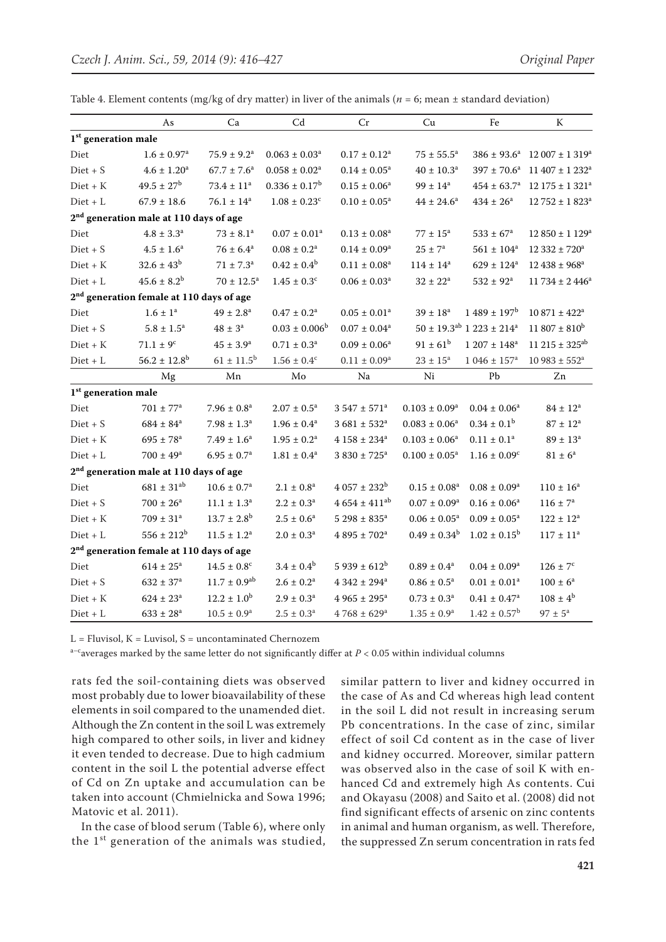|  |  |  |  |  |  | Table 4. Element contents (mg/kg of dry matter) in liver of the animals ( $n = 6$ ; mean $\pm$ standard deviation) |
|--|--|--|--|--|--|--------------------------------------------------------------------------------------------------------------------|
|--|--|--|--|--|--|--------------------------------------------------------------------------------------------------------------------|

|                                 | As                                                   | Ca                     | Cd                        | Cr                           | Cu                     | Fe                                                   | K                             |
|---------------------------------|------------------------------------------------------|------------------------|---------------------------|------------------------------|------------------------|------------------------------------------------------|-------------------------------|
| 1 <sup>st</sup> generation male |                                                      |                        |                           |                              |                        |                                                      |                               |
| Diet                            | $1.6 \pm 0.97$ <sup>a</sup>                          | $75.9 \pm 9.2^{\rm a}$ | $0.063\pm0.03^{\rm a}$    | $0.17 \pm 0.12^a$            | $75\pm55.5^{\rm a}$    | $386 \pm 93.6^a$                                     | $12007 \pm 1319^a$            |
| $Diet + S$                      | $4.6\pm1.20^{\rm a}$                                 | $67.7 \pm 7.6^a$       | $0.058 \pm 0.02^a$        | $0.14\pm0.05^{\rm a}$        | $40\pm10.3^{\rm a}$    | $397 \pm 70.6^a$                                     | $11\ 407 \pm 1\ 232^{\rm a}$  |
| $Diet + K$                      | $49.5 \pm 27^{\rm b}$                                | $73.4 \pm 11^a$        | $0.336 \pm 0.17^b$        | $0.15 \pm 0.06^a$            | $99 \pm 14^{\rm a}$    | $454\pm63.7^{\rm a}$                                 | $12$ 175 ± 1 321 <sup>a</sup> |
| $Diet + L$                      | $67.9 \pm 18.6$                                      | $76.1 \pm 14^a$        | $1.08\pm0.23^{\rm c}$     | $0.10\pm0.05^{\rm a}$        | $44 \pm 24.6^a$        | $434 \pm 26^{\rm a}$                                 | $12\,752 \pm 1\,823^{\rm a}$  |
|                                 | 2 <sup>nd</sup> generation male at 110 days of age   |                        |                           |                              |                        |                                                      |                               |
| Diet                            | $4.8 \pm 3.3^{\rm a}$                                | $73 \pm 8.1^a$         | $0.07 \pm 0.01^a$         | $0.13 \pm 0.08^a$            | $77 \pm 15^{\rm a}$    | $533 \pm 67^{\rm a}$                                 | $12850 \pm 1129^a$            |
| $Diet + S$                      | $4.5 \pm 1.6^a$                                      | $76 \pm 6.4^{\rm a}$   | $0.08 \pm 0.2^a$          | $0.14 \pm 0.09^a$            | $25\pm7^{\rm a}$       | $561 \pm 104^a$                                      | $12\,332 \pm 720^a$           |
| $Diet + K$                      | $32.6 \pm 43^b$                                      | $71 \pm 7.3^{\circ}$   | $0.42 \pm 0.4^b$          | $0.11\pm0.08^{\rm a}$        | $114 \pm 14^a$         | $629 \pm 124^a$                                      | $12\,438 \pm 968^{\rm a}$     |
| $Diet + L$                      | $45.6 \pm 8.2^b$                                     | $70 \pm 12.5^{\rm a}$  | $1.45\pm0.3^{\rm c}$      | $0.06\pm0.03^{\rm a}$        | $32\pm22^{\rm a}$      | $532\pm92^{\rm a}$                                   | $11734 \pm 2446^a$            |
|                                 | 2 <sup>nd</sup> generation female at 110 days of age |                        |                           |                              |                        |                                                      |                               |
| Diet                            | $1.6\pm1^{\rm a}$                                    | $49 \pm 2.8^{\rm a}$   | $0.47 \pm 0.2^a$          | $0.05\pm0.01^{\rm a}$        | $39 \pm 18^a$          | $1489 \pm 197^b$                                     | $10871 \pm 422^a$             |
| $Dict + S$                      | $5.8 \pm 1.5^{\rm a}$                                | $48 \pm 3^a$           | $0.03 \pm 0.006^b$        | $0.07 \pm 0.04^a$            |                        | $50 \pm 19.3$ <sup>ab</sup> 1 223 ± 214 <sup>a</sup> | $11\,807 \pm 810^b$           |
| $Diet + K$                      | $71.1 \pm 9^{\circ}$                                 | $45 \pm 3.9^{\rm a}$   | $0.71 \pm 0.3^a$          | $0.09 \pm 0.06^a$            | $91 \pm 61^b$          | $1207 \pm 148$ <sup>a</sup>                          | $11215 \pm 325^{ab}$          |
| $Diet + L$                      | $56.2 \pm 12.8$ <sup>b</sup>                         | $61 \pm 11.5^b$        | $1.56\pm0.4^{\rm c}$      | $0.11\pm0.09^{\rm a}$        | $23\pm15^{\rm a}$      | $1046 \pm 157$ <sup>a</sup>                          | $10983 \pm 552^a$             |
|                                 | Mg                                                   | Mn                     | Mo                        | Na                           | Ni                     | Pb                                                   | Zn                            |
| 1 <sup>st</sup> generation male |                                                      |                        |                           |                              |                        |                                                      |                               |
| Diet                            | $701 \pm 77^{\rm a}$                                 | $7.96\pm0.8^{\rm a}$   | $2.07 \pm 0.5^{\text{a}}$ | $3.547 \pm 571$ <sup>a</sup> | $0.103 \pm 0.09^a$     | $0.04 \pm 0.06^a$                                    | $84 \pm 12^a$                 |
| $Dict + S$                      | $684 \pm 84^{\rm a}$                                 | $7.98 \pm 1.3^a$       | $1.96 \pm 0.4^a$          | $3681 \pm 532^a$             | $0.083 \pm 0.06^a$     | $0.34 \pm 0.1^{\rm b}$                               | $87 \pm 12^{\rm a}$           |
| $Diet + K$                      | $695 \pm 78^{\rm a}$                                 | $7.49 \pm 1.6^a$       | $1.95 \pm 0.2^a$          | $4158 \pm 234^a$             | $0.103 \pm 0.06^a$     | $0.11 \pm 0.1^a$                                     | $89 \pm 13^{\rm a}$           |
| $Diet + L$                      | $700 \pm 49^{\rm a}$                                 | $6.95 \pm 0.7^{\rm a}$ | $1.81\pm0.4^{\rm a}$      | $3.830\pm725^{\rm a}$        | $0.100 \pm 0.05^a$     | $1.16 \pm 0.09^c$                                    | $81 \pm 6^a$                  |
|                                 | 2 <sup>nd</sup> generation male at 110 days of age   |                        |                           |                              |                        |                                                      |                               |
| Diet                            | $681 \pm 31^{ab}$                                    | $10.6\pm0.7^{\rm a}$   | $2.1\pm0.8^{\rm a}$       | $4.057 \pm 232^b$            | $0.15 \pm 0.08^a$      | $0.08 \pm 0.09^a$                                    | $110 \pm 16^a$                |
| $Dict + S$                      | $700 \pm 26^{\rm a}$                                 | $11.1 \pm 1.3^a$       | $2.2 \pm 0.3^{\text{a}}$  | $4654 \pm 411^{ab}$          | $0.07 \pm 0.09^a$      | $0.16 \pm 0.06^a$                                    | $116 \pm 7^{\rm a}$           |
| $Diet + K$                      | $709 \pm 31^a$                                       | $13.7 \pm 2.8^{\rm b}$ | $2.5 \pm 0.6^a$           | $5298 \pm 835^a$             | $0.06 \pm 0.05^a$      | $0.09 \pm 0.05^a$                                    | $122 \pm 12^a$                |
| $\mathrm{Diet} + \mathrm{L}$    | $556 \pm 212^b$                                      | $11.5 \pm 1.2^a$       | $2.0\pm0.3^{\rm a}$       | $4.895\pm702^{\rm a}$        | $0.49 \pm 0.34^b$      | $1.02 \pm 0.15^{\rm b}$                              | $117\pm11^{\rm a}$            |
|                                 | 2 <sup>nd</sup> generation female at 110 days of age |                        |                           |                              |                        |                                                      |                               |
| Diet                            | $614 \pm 25^{\rm a}$                                 | $14.5\pm0.8^{\rm c}$   | $3.4 \pm 0.4^b$           | $5$ 939 $\pm$ $612^{\rm b}$  | $0.89\pm0.4^{\rm a}$   | $0.04\pm0.09^{\rm a}$                                | $126\pm7^{\rm c}$             |
| $Diet + S$                      | $632 \pm 37^{\rm a}$                                 | $11.7 \pm 0.9^{ab}$    | $2.6 \pm 0.2^a$           | $4342 \pm 294$ <sup>a</sup>  | $0.86 \pm 0.5^a$       | $0.01 \pm 0.01^a$                                    | $100 \pm 6^{\rm a}$           |
| $Dict + K$                      | $624 \pm 23^a$                                       | $12.2 \pm 1.0^b$       | $2.9 \pm 0.3^{\rm a}$     | $4965 \pm 295^{\text{a}}$    | $0.73 \pm 0.3^a$       | $0.41 \pm 0.47$ <sup>a</sup>                         | $108 \pm 4^{\rm b}$           |
| $Diet + L$                      | $633 \pm 28^{\rm a}$                                 | $10.5 \pm 0.9^{\rm a}$ | $2.5 \pm 0.3^{\rm a}$     | $4768 \pm 629^{\rm a}$       | $1.35 \pm 0.9^{\rm a}$ | $1.42 \pm 0.57^{\rm b}$                              | $97\pm5^{\rm a}$              |

 $L =$  Fluvisol,  $K =$  Luvisol,  $S =$  uncontaminated Chernozem

 $a-c$  averages marked by the same letter do not significantly differ at  $P < 0.05$  within individual columns

rats fed the soil-containing diets was observed most probably due to lower bioavailability of these elements in soil compared to the unamended diet. Although the Zn content in the soil L was extremely high compared to other soils, in liver and kidney it even tended to decrease. Due to high cadmium content in the soil L the potential adverse effect of Cd on Zn uptake and accumulation can be taken into account (Chmielnicka and Sowa 1996; Matovic et al. 2011).

In the case of blood serum (Table 6), where only the 1<sup>st</sup> generation of the animals was studied, similar pattern to liver and kidney occurred in the case of As and Cd whereas high lead content in the soil L did not result in increasing serum Pb concentrations. In the case of zinc, similar effect of soil Cd content as in the case of liver and kidney occurred. Moreover, similar pattern was observed also in the case of soil K with enhanced Cd and extremely high As contents. Cui and Okayasu (2008) and Saito et al. (2008) did not find significant effects of arsenic on zinc contents in animal and human organism, as well. Therefore, the suppressed Zn serum concentration in rats fed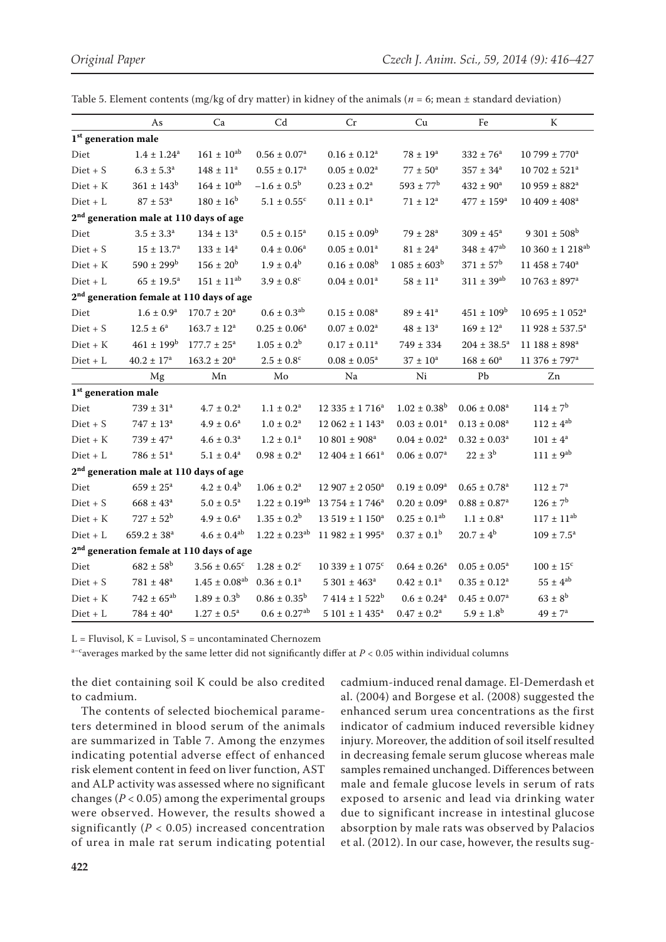|                                                    | As                                                 | Ca                                                   | Cd                            | Cr                            | Cu                           | Fe                           | K                              |  |  |
|----------------------------------------------------|----------------------------------------------------|------------------------------------------------------|-------------------------------|-------------------------------|------------------------------|------------------------------|--------------------------------|--|--|
| $1^{\rm st}$ generation male                       |                                                    |                                                      |                               |                               |                              |                              |                                |  |  |
| Diet                                               | $1.4 \pm 1.24^a$                                   | $161 \pm 10^{ab}$                                    | $0.56\pm0.07^{\rm a}$         | $0.16\pm0.12^{\rm a}$         | $78 \pm 19^{\rm a}$          | $332 \pm 76^a$               | $10799 \pm 770$ <sup>a</sup>   |  |  |
| $Diet + S$                                         | $6.3 \pm 5.3^{\rm a}$                              | $148 \pm 11^a$                                       | $0.55 \pm 0.17^{\rm a}$       | $0.05 \pm 0.02^a$             | $77\pm50^{\rm a}$            | $357 \pm 34^{\rm a}$         | $10\,702 \pm 521^{\rm a}$      |  |  |
| $Diet + K$                                         | $361 \pm 143^b$                                    | $164 \pm 10^{ab}$                                    | $-1.6 \pm 0.5^{\rm b}$        | $0.23 \pm 0.2^a$              | $593 \pm 77^{\rm b}$         | $432 \pm 90^{\rm a}$         | $10959 \pm 882^a$              |  |  |
| $Diet + L$                                         | $87\pm53^{\rm a}$                                  | $180 \pm 16^{\rm b}$                                 | $5.1 \pm 0.55$ <sup>c</sup>   | $0.11\pm0.1^{\rm a}$          | $71 \pm 12^a$                | $477 \pm 159^{\rm a}$        | $10\ 409 \pm 408$ <sup>a</sup> |  |  |
| 2 <sup>nd</sup> generation male at 110 days of age |                                                    |                                                      |                               |                               |                              |                              |                                |  |  |
| Diet                                               | $3.5 \pm 3.3^{\rm a}$                              | $134 \pm 13^{\rm a}$                                 | $0.5 \pm 0.15^a$              | $0.15 \pm 0.09^b$             | $79\pm28^{\rm a}$            | $309 \pm 45^{\rm a}$         | $9301 \pm 508^{\rm b}$         |  |  |
| $Dict + S$                                         | $15 \pm 13.7^{\rm a}$                              | $133 \pm 14^a$                                       | $0.4\pm0.06^{\rm a}$          | $0.05 \pm 0.01$ <sup>a</sup>  | $81 \pm 24^{\rm a}$          | $348 \pm 47^{ab}$            | $10\;360\pm1\;218^{\rm ab}$    |  |  |
| $Dict + K$                                         | $590 \pm 299^{\rm b}$                              | $156 \pm 20^{\rm b}$                                 | $1.9 \pm 0.4^b$               | $0.16 \pm 0.08^b$             | $1.085 \pm 603^b$            | $371 \pm 57^{\rm b}$         | $11458 \pm 740^a$              |  |  |
| $\mathrm{Diet} + \mathrm{L}$                       | $65 \pm 19.5^{\rm a}$                              | $151 \pm 11^{ab}$                                    | $3.9\pm0.8^{\rm c}$           | $0.04 \pm 0.01^a$             | $58\pm11^{\rm a}$            | $311\pm39^{\rm ab}$          | $10763 \pm 897^a$              |  |  |
|                                                    |                                                    | 2 <sup>nd</sup> generation female at 110 days of age |                               |                               |                              |                              |                                |  |  |
| Diet                                               | $1.6 \pm 0.9^{\rm a}$                              | $170.7 \pm 20^a$                                     | $0.6 \pm 0.3$ <sup>ab</sup>   | $0.15 \pm 0.08^a$             | $89 \pm 41^{\circ}$          | $451 \pm 109^{\rm b}$        | $10695 \pm 1052^a$             |  |  |
| $Dict + S$                                         | $12.5 \pm 6^a$                                     | $163.7 \pm 12^a$                                     | $0.25 \pm 0.06^a$             | $0.07\pm0.02^{\rm a}$         | $48\pm13^{\rm a}$            | $169 \pm 12^{\rm a}$         | 11 928 ± 537.5 <sup>a</sup>    |  |  |
| $Diet + K$                                         | $461 \pm 199^{\rm b}$                              | $177.7 \pm 25^{\text{a}}$                            | $1.05 \pm 0.2^b$              | $0.17 \pm 0.11^a$             | $749 \pm 334$                | $204 \pm 38.5^{\rm a}$       | $11 188 \pm 898^a$             |  |  |
| $Diet + L$                                         | $40.2 \pm 17^a$                                    | $163.2 \pm 20^a$                                     | $2.5 \pm 0.8^{\circ}$         | $0.08 \pm 0.05^a$             | $37 \pm 10^a$                | $168 \pm 60^a$               | 11 376 ± 797 <sup>a</sup>      |  |  |
|                                                    | Mg                                                 | Mn                                                   | Mo                            | Na                            | Ni                           | Pb                           | Zn                             |  |  |
| 1 <sup>st</sup> generation male                    |                                                    |                                                      |                               |                               |                              |                              |                                |  |  |
| Diet                                               | $739 \pm 31^a$                                     | $4.7 \pm 0.2^a$                                      | $1.1 \pm 0.2^a$               | $12335 \pm 1716^a$            | $1.02 \pm 0.38^{\rm b}$      | $0.06 \pm 0.08^a$            | $114 \pm 7^b$                  |  |  |
| $Diet + S$                                         | $747 \pm 13^a$                                     | $4.9 \pm 0.6^a$                                      | $1.0\pm0.2^{\rm a}$           | $12062 \pm 1143^a$            | $0.03 \pm 0.01^a$            | $0.13\pm0.08^{\rm a}$        | $112 \pm 4^{ab}$               |  |  |
| $Diet + K$                                         | $739 \pm 47^{\rm a}$                               | $4.6 \pm 0.3^{\text{a}}$                             | $1.2 \pm 0.1^a$               | $10\ 801 \pm 908^{\rm a}$     | $0.04 \pm 0.02^a$            | $0.32 \pm 0.03^a$            | $101 \pm 4^a$                  |  |  |
| $Diet + L$                                         | $786 \pm 51^a$                                     | $5.1 \pm 0.4^a$                                      | $0.98 \pm 0.2^a$              | $12\,404 \pm 1\,661^a$        | $0.06 \pm 0.07$ <sup>a</sup> | $22 \pm 3^b$                 | $111 \pm 9^{ab}$               |  |  |
|                                                    | 2 <sup>nd</sup> generation male at 110 days of age |                                                      |                               |                               |                              |                              |                                |  |  |
| Diet                                               | $659 \pm 25^{\rm a}$                               | $4.2 \pm 0.4^{\rm b}$                                | $1.06 \pm 0.2^a$              | $12907 \pm 2050^a$            | $0.19 \pm 0.09^a$            | $0.65 \pm 0.78$ <sup>a</sup> | $112 \pm 7^{\rm a}$            |  |  |
| $\mathrm{Diet}+S$                                  | $668 \pm 43^{\rm a}$                               | $5.0 \pm 0.5^{\text{a}}$                             | $1.22 \pm 0.19^{ab}$          | $13754 \pm 1746^a$            | $0.20 \pm 0.09^a$            | $0.88 \pm 0.87$ <sup>a</sup> | $126 \pm 7^{\rm b}$            |  |  |
| $Diet + K$                                         | $727 \pm 52^b$                                     | $4.9 \pm 0.6^a$                                      | $1.35 \pm 0.2^b$              | $13.519 \pm 1.150^a$          | $0.25 \pm 0.1^{ab}$          | $1.1\pm0.8^{\rm a}$          | $117 \pm 11^{ab}$              |  |  |
| $Diet + L$                                         | $659.2 \pm 38^a$                                   | $4.6 \pm 0.4^{ab}$                                   | $1.22 \pm 0.23$ <sup>ab</sup> | $11982 \pm 1995^a$            | $0.37 \pm 0.1^{\rm b}$       | $20.7 \pm 4^b$               | $109 \pm 7.5^{\text{a}}$       |  |  |
|                                                    |                                                    | 2 <sup>nd</sup> generation female at 110 days of age |                               |                               |                              |                              |                                |  |  |
| Diet                                               | $682 \pm 58^{\rm b}$                               | $3.56 \pm 0.65$ <sup>c</sup>                         | $1.28 \pm 0.2$ <sup>c</sup>   | $10339 \pm 1075$ <sup>c</sup> | $0.64 \pm 0.26^a$            | $0.05 \pm 0.05^a$            | $100 \pm 15^{\circ}$           |  |  |
| $Dict + S$                                         | $781 \pm 48^a$                                     | $1.45 \pm 0.08^{ab}$                                 | $0.36 \pm 0.1^a$              | $5301 \pm 463^a$              | $0.42 \pm 0.1^a$             | $0.35 \pm 0.12^a$            | $55 \pm 4^{ab}$                |  |  |
| $Diet + K$                                         | $742 \pm 65^{ab}$                                  | $1.89\pm0.3^{\rm b}$                                 | $0.86 \pm 0.35^{\rm b}$       | $7414 \pm 1522^b$             | $0.6 \pm 0.24^a$             | $0.45 \pm 0.07^a$            | $63 \pm 8^{\rm b}$             |  |  |
| $Diet + L$                                         | $784 \pm 40^a$                                     | $1.27\pm0.5^{\rm a}$                                 | $0.6 \pm 0.27$ <sup>ab</sup>  | $5101 \pm 1435$ <sup>a</sup>  | $0.47\pm0.2^{\rm a}$         | $5.9 \pm 1.8^{\rm b}$        | $49 \pm 7^{\rm a}$             |  |  |

Table 5. Element contents (mg/kg of dry matter) in kidney of the animals ( $n = 6$ ; mean  $\pm$  standard deviation)

 $L =$  Fluvisol,  $K =$  Luvisol,  $S =$  uncontaminated Chernozem

 $a-c$  averages marked by the same letter did not significantly differ at  $P < 0.05$  within individual columns

the diet containing soil K could be also credited to cadmium.

The contents of selected biochemical parameters determined in blood serum of the animals are summarized in Table 7. Among the enzymes indicating potential adverse effect of enhanced risk element content in feed on liver function, AST and ALP activity was assessed where no significant changes ( $P < 0.05$ ) among the experimental groups were observed. However, the results showed a significantly  $(P < 0.05)$  increased concentration of urea in male rat serum indicating potential cadmium-induced renal damage. El-Demerdash et al. (2004) and Borgese et al. (2008) suggested the enhanced serum urea concentrations as the first indicator of cadmium induced reversible kidney injury. Moreover, the addition of soil itself resulted in decreasing female serum glucose whereas male samples remained unchanged. Differences between male and female glucose levels in serum of rats exposed to arsenic and lead via drinking water due to significant increase in intestinal glucose absorption by male rats was observed by Palacios et al. (2012). In our case, however, the results sug-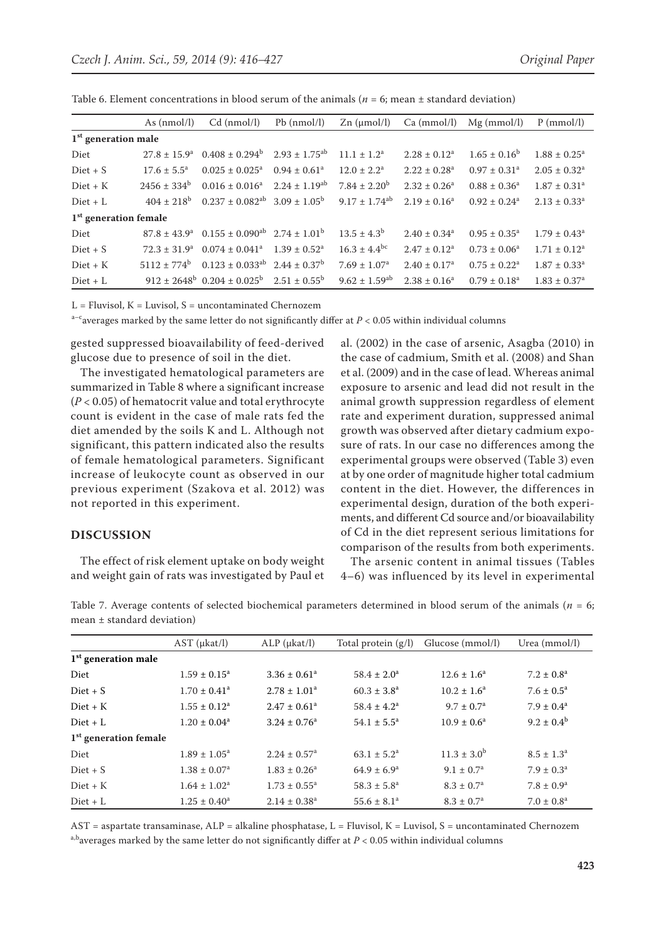|                         | As $(nmol/l)$          | $Cd$ (nmol/l)                                                                      | $Pb$ (nmol/l)     | $Zn$ ( $\mu$ mol/l)           | Ca (mmol/l)                  | $Mg$ (mmol/l)                | $P$ (mmol/l)                 |
|-------------------------|------------------------|------------------------------------------------------------------------------------|-------------------|-------------------------------|------------------------------|------------------------------|------------------------------|
| $1st$ generation male   |                        |                                                                                    |                   |                               |                              |                              |                              |
| Diet                    |                        | $27.8 \pm 15.9^a$ $0.408 \pm 0.294^b$ $2.93 \pm 1.75^{ab}$                         |                   | $11.1 \pm 1.2^a$              | $2.28 \pm 0.12^a$            | $1.65 \pm 0.16^{\circ}$      | $1.88 \pm 0.25^{\text{a}}$   |
| $Diet + S$              | $17.6 \pm 5.5^{\circ}$ | $0.025 \pm 0.025^a$                                                                | $0.94 \pm 0.61^a$ | $12.0 \pm 2.2^{\text{a}}$     | $2.22 \pm 0.28$ <sup>a</sup> | $0.97 \pm 0.31$ <sup>a</sup> | $2.05 \pm 0.32^a$            |
| $Diet + K$              | $2456 \pm 334^b$       | $0.016 \pm 0.016^a$ $2.24 \pm 1.19^{ab}$                                           |                   | $7.84 \pm 2.20^b$             | $2.32 \pm 0.26^a$            | $0.88 \pm 0.36^a$            | $1.87 \pm 0.31^a$            |
| $Diet + L$              | $404 + 218^b$          | $0.237 \pm 0.082^{ab}$ 3.09 $\pm 1.05^{b}$                                         |                   | $9.17 \pm 1.74$ <sup>ab</sup> | $2.19 \pm 0.16^a$            | $0.92 \pm 0.24$ <sup>a</sup> | $2.13 \pm 0.33^a$            |
| $1st$ generation female |                        |                                                                                    |                   |                               |                              |                              |                              |
| Diet                    |                        | $87.8 \pm 43.9^a$ 0.155 $\pm$ 0.090 <sup>ab</sup> 2.74 $\pm$ 1.01 <sup>b</sup>     |                   | $13.5 \pm 4.3^{\rm b}$        | $2.40 \pm 0.34$ <sup>a</sup> | $0.95 \pm 0.35^{\text{a}}$   | $1.79 \pm 0.43^a$            |
| $Diet + S$              | $72.3 + 31.9^a$        | $0.074 \pm 0.041$ <sup>a</sup>                                                     | $1.39 + 0.52^a$   | $16.3 \pm 4.4^{\rm bc}$       | $2.47 \pm 0.12^a$            | $0.73 \pm 0.06^a$            | $1.71 \pm 0.12^a$            |
| $Diet + K$              |                        | $5112 \pm 774^b$ 0.123 $\pm$ 0.033 <sup>ab</sup> 2.44 $\pm$ 0.37 <sup>b</sup>      |                   | $7.69 + 1.07a$                | $2.40 \pm 0.17^a$            | $0.75 \pm 0.22^a$            | $1.87 \pm 0.33$ <sup>a</sup> |
| $Diet + L$              |                        | $912 \pm 2648^{\circ}$ 0.204 $\pm$ 0.025 <sup>b</sup> 2.51 $\pm$ 0.55 <sup>b</sup> |                   | $9.62 \pm 1.59$ <sup>ab</sup> | $2.38 \pm 0.16^a$            | $0.79 \pm 0.18^a$            | $1.83 \pm 0.37^{\rm a}$      |

Table 6. Element concentrations in blood serum of the animals ( $n = 6$ ; mean  $\pm$  standard deviation)

 $L =$  Fluvisol,  $K =$  Luvisol,  $S =$  uncontaminated Chernozem

 $a-c$  averages marked by the same letter do not significantly differ at  $P < 0.05$  within individual columns

gested suppressed bioavailability of feed-derived glucose due to presence of soil in the diet.

The investigated hematological parameters are summarized in Table 8 where a significant increase (*P* < 0.05) of hematocrit value and total erythrocyte count is evident in the case of male rats fed the diet amended by the soils K and L. Although not significant, this pattern indicated also the results of female hematological parameters. Significant increase of leukocyte count as observed in our previous experiment (Szakova et al. 2012) was not reported in this experiment.

## **DISCUSSION**

The effect of risk element uptake on body weight and weight gain of rats was investigated by Paul et

al. (2002) in the case of arsenic, Asagba (2010) in the case of cadmium, Smith et al. (2008) and Shan et al. (2009) and in the case of lead. Whereas animal exposure to arsenic and lead did not result in the animal growth suppression regardless of element rate and experiment duration, suppressed animal growth was observed after dietary cadmium exposure of rats. In our case no differences among the experimental groups were observed (Table 3) even at by one order of magnitude higher total cadmium content in the diet. However, the differences in experimental design, duration of the both experiments, and different Cd source and/or bioavailability of Cd in the diet represent serious limitations for comparison of the results from both experiments.

The arsenic content in animal tissues (Tables 4–6) was influenced by its level in experimental

Table 7. Average contents of selected biochemical parameters determined in blood serum of the animals (*n* = 6; mean ± standard deviation)

|                         | $AST$ ( $\mu$ kat/l)         | $ALP$ ( $\mu$ kat/l)         | Total protein $(g/l)$     | Glucose (mmol/l)         | Urea (mmol/l)            |
|-------------------------|------------------------------|------------------------------|---------------------------|--------------------------|--------------------------|
| $1st$ generation male   |                              |                              |                           |                          |                          |
| Diet                    | $1.59 \pm 0.15^a$            | $3.36 \pm 0.61^a$            | $58.4 \pm 2.0^a$          | $12.6 \pm 1.6^a$         | $7.2 \pm 0.8^a$          |
| $Diet + S$              | $1.70 \pm 0.41$ <sup>a</sup> | $2.78 \pm 1.01^a$            | $60.3 \pm 3.8^a$          | $10.2 \pm 1.6^a$         | $7.6 \pm 0.5^{\text{a}}$ |
| $Diet + K$              | $1.55 \pm 0.12^a$            | $2.47 \pm 0.61$ <sup>a</sup> | $58.4 \pm 4.2^a$          | $9.7 \pm 0.7^{\rm a}$    | $7.9 \pm 0.4^a$          |
| $Diet + L$              | $1.20 \pm 0.04^a$            | $3.24 \pm 0.76^a$            | $54.1 \pm 5.5^{\circ}$    | $10.9 \pm 0.6^a$         | $9.2 \pm 0.4^{\rm b}$    |
| $1st$ generation female |                              |                              |                           |                          |                          |
| Diet                    | $1.89 \pm 1.05^{\circ}$      | $2.24 \pm 0.57$ <sup>a</sup> | $63.1 \pm 5.2^{\text{a}}$ | $11.3 \pm 3.0^{\rm b}$   | $8.5 \pm 1.3^a$          |
| $Diet + S$              | $1.38 \pm 0.07^a$            | $1.83 \pm 0.26^a$            | $64.9 \pm 6.9^{\circ}$    | $9.1 \pm 0.7^{\text{a}}$ | $7.9 \pm 0.3^{\text{a}}$ |
| $Diet + K$              | $1.64 \pm 1.02^a$            | $1.73 \pm 0.55^{\text{a}}$   | $58.3 \pm 5.8^{\rm a}$    | $8.3 \pm 0.7^{\rm a}$    | $7.8 \pm 0.9^{\rm a}$    |
| $Diet + L$              | $1.25 \pm 0.40^a$            | $2.14 \pm 0.38^a$            | $55.6 \pm 8.1^a$          | $8.3 \pm 0.7^{\rm a}$    | $7.0 \pm 0.8^a$          |

AST = aspartate transaminase, ALP = alkaline phosphatase, L = Fluvisol, K = Luvisol, S = uncontaminated Chernozem a,baverages marked by the same letter do not significantly differ at  $P < 0.05$  within individual columns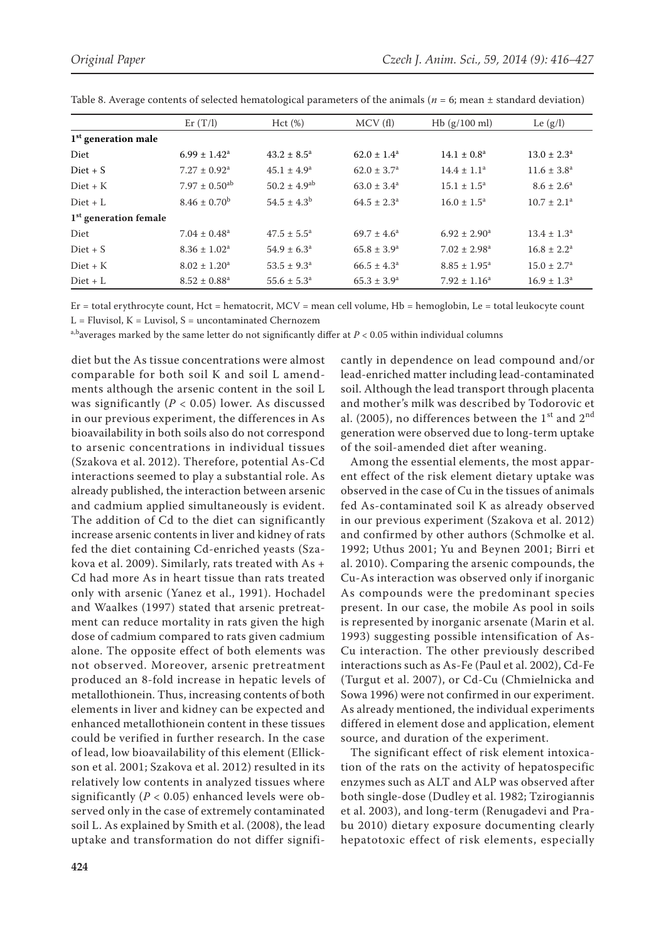|                         | Er(T/l)                       | Hct(%)                       | MCV(f)                 | Hb(g/100 ml)               | Le $(g/l)$             |
|-------------------------|-------------------------------|------------------------------|------------------------|----------------------------|------------------------|
| $1st$ generation male   |                               |                              |                        |                            |                        |
| Diet                    | $6.99 \pm 1.42^a$             | $43.2 \pm 8.5^{\circ}$       | $62.0 \pm 1.4^a$       | $14.1 \pm 0.8^a$           | $13.0 \pm 2.3^{\circ}$ |
| $Diet + S$              | $7.27 \pm 0.92^a$             | $45.1 \pm 4.9^{\circ}$       | $62.0 \pm 3.7^{\rm a}$ | $14.4 \pm 1.1^a$           | $11.6 \pm 3.8^a$       |
| $Diet + K$              | $7.97 \pm 0.50$ <sup>ab</sup> | $50.2 \pm 4.9$ <sup>ab</sup> | $63.0 \pm 3.4^a$       | $15.1 \pm 1.5^{\circ}$     | $8.6 \pm 2.6^a$        |
| $Diet + L$              | $8.46 \pm 0.70^{\rm b}$       | $54.5 \pm 4.3^{\rm b}$       | $64.5 \pm 2.3^{\circ}$ | $16.0 \pm 1.5^{\text{a}}$  | $10.7 \pm 2.1^a$       |
| $1st$ generation female |                               |                              |                        |                            |                        |
| Diet                    | $7.04 \pm 0.48$ <sup>a</sup>  | $47.5 \pm 5.5^{\circ}$       | $69.7 \pm 4.6^a$       | $6.92 \pm 2.90^{\circ}$    | $13.4 \pm 1.3^a$       |
| $Diet + S$              | $8.36 \pm 1.02^a$             | $54.9 \pm 6.3^{\circ}$       | $65.8 \pm 3.9^{\circ}$ | $7.02 \pm 2.98^a$          | $16.8 \pm 2.2^a$       |
| $Diet + K$              | $8.02 \pm 1.20^a$             | $53.5 \pm 9.3^{\circ}$       | $66.5 \pm 4.3^a$       | $8.85 \pm 1.95^{\text{a}}$ | $15.0 \pm 2.7^{\circ}$ |
| $Diet + L$              | $8.52 \pm 0.88^a$             | $55.6 \pm 5.3^{\circ}$       | $65.3 \pm 3.9^{\rm a}$ | $7.92 \pm 1.16^a$          | $16.9 \pm 1.3^a$       |

Table 8. Average contents of selected hematological parameters of the animals (*n* = 6; mean ± standard deviation)

Er = total erythrocyte count, Hct = hematocrit, MCV = mean cell volume, Hb = hemoglobin, Le = total leukocyte count  $L =$  Fluvisol,  $K =$  Luvisol,  $S =$  uncontaminated Chernozem

a,b<sub>averages marked by the same letter do not significantly differ at *P* < 0.05 within individual columns</sub>

diet but the As tissue concentrations were almost comparable for both soil K and soil L amendments although the arsenic content in the soil L was significantly (*P* < 0.05) lower. As discussed in our previous experiment, the differences in As bioavailability in both soils also do not correspond to arsenic concentrations in individual tissues (Szakova et al. 2012). Therefore, potential As-Cd interactions seemed to play a substantial role. As already published, the interaction between arsenic and cadmium applied simultaneously is evident. The addition of Cd to the diet can significantly increase arsenic contents in liver and kidney of rats fed the diet containing Cd-enriched yeasts (Szakova et al. 2009). Similarly, rats treated with As + Cd had more As in heart tissue than rats treated only with arsenic (Yanez et al., 1991). Hochadel and Waalkes (1997) stated that arsenic pretreatment can reduce mortality in rats given the high dose of cadmium compared to rats given cadmium alone. The opposite effect of both elements was not observed. Moreover, arsenic pretreatment produced an 8-fold increase in hepatic levels of metallothionein. Thus, increasing contents of both elements in liver and kidney can be expected and enhanced metallothionein content in these tissues could be verified in further research. In the case of lead, low bioavailability of this element (Ellickson et al. 2001; Szakova et al. 2012) resulted in its relatively low contents in analyzed tissues where significantly  $(P < 0.05)$  enhanced levels were observed only in the case of extremely contaminated soil L. As explained by Smith et al. (2008), the lead uptake and transformation do not differ signifi-

cantly in dependence on lead compound and/or lead-enriched matter including lead-contaminated soil. Although the lead transport through placenta and mother's milk was described by Todorovic et al. (2005), no differences between the  $1<sup>st</sup>$  and  $2<sup>nd</sup>$ generation were observed due to long-term uptake of the soil-amended diet after weaning.

Among the essential elements, the most apparent effect of the risk element dietary uptake was observed in the case of Cu in the tissues of animals fed As-contaminated soil K as already observed in our previous experiment (Szakova et al. 2012) and confirmed by other authors (Schmolke et al. 1992; Uthus 2001; Yu and Beynen 2001; Birri et al. 2010). Comparing the arsenic compounds, the Cu-As interaction was observed only if inorganic As compounds were the predominant species present. In our case, the mobile As pool in soils is represented by inorganic arsenate (Marin et al. 1993) suggesting possible intensification of As-Cu interaction. The other previously described interactions such as As-Fe (Paul et al. 2002), Cd-Fe (Turgut et al. 2007), or Cd-Cu (Chmielnicka and Sowa 1996) were not confirmed in our experiment. As already mentioned, the individual experiments differed in element dose and application, element source, and duration of the experiment.

The significant effect of risk element intoxication of the rats on the activity of hepatospecific enzymes such as ALT and ALP was observed after both single-dose (Dudley et al. 1982; Tzirogiannis et al. 2003), and long-term (Renugadevi and Prabu 2010) dietary exposure documenting clearly hepatotoxic effect of risk elements, especially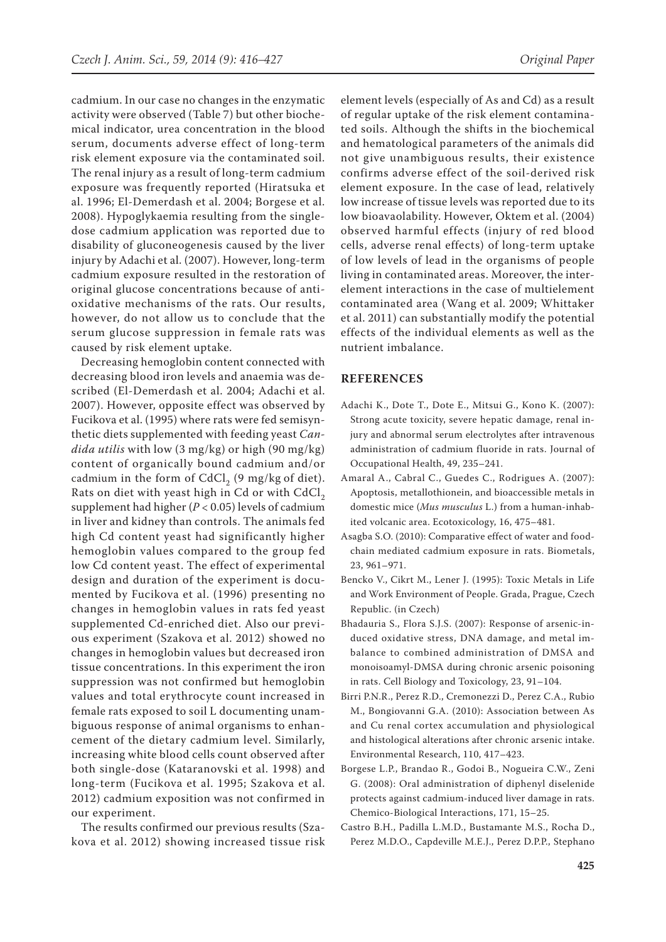cadmium. In our case no changes in the enzymatic activity were observed (Table 7) but other biochemical indicator, urea concentration in the blood serum, documents adverse effect of long-term risk element exposure via the contaminated soil. The renal injury as a result of long-term cadmium exposure was frequently reported (Hiratsuka et al. 1996; El-Demerdash et al. 2004; Borgese et al. 2008). Hypoglykaemia resulting from the singledose cadmium application was reported due to disability of gluconeogenesis caused by the liver injury by Adachi et al. (2007). However, long-term cadmium exposure resulted in the restoration of original glucose concentrations because of antioxidative mechanisms of the rats. Our results, however, do not allow us to conclude that the serum glucose suppression in female rats was caused by risk element uptake.

Decreasing hemoglobin content connected with decreasing blood iron levels and anaemia was described (El-Demerdash et al. 2004; Adachi et al. 2007). However, opposite effect was observed by Fucikova et al. (1995) where rats were fed semisynthetic diets supplemented with feeding yeast *Candida utilis* with low (3 mg/kg) or high (90 mg/kg) content of organically bound cadmium and/or cadmium in the form of  $CdCl<sub>2</sub>$  (9 mg/kg of diet). Rats on diet with yeast high in Cd or with  $CdCl<sub>2</sub>$ supplement had higher  $(P < 0.05)$  levels of cadmium in liver and kidney than controls. The animals fed high Cd content yeast had significantly higher hemoglobin values compared to the group fed low Cd content yeast. The effect of experimental design and duration of the experiment is documented by Fucikova et al. (1996) presenting no changes in hemoglobin values in rats fed yeast supplemented Cd-enriched diet. Also our previous experiment (Szakova et al. 2012) showed no changes in hemoglobin values but decreased iron tissue concentrations. In this experiment the iron suppression was not confirmed but hemoglobin values and total erythrocyte count increased in female rats exposed to soil L documenting unambiguous response of animal organisms to enhancement of the dietary cadmium level. Similarly, increasing white blood cells count observed after both single-dose (Kataranovski et al. 1998) and long-term (Fucikova et al. 1995; Szakova et al. 2012) cadmium exposition was not confirmed in our experiment.

The results confirmed our previous results (Szakova et al. 2012) showing increased tissue risk

element levels (especially of As and Cd) as a result of regular uptake of the risk element contaminated soils. Although the shifts in the biochemical and hematological parameters of the animals did not give unambiguous results, their existence confirms adverse effect of the soil-derived risk element exposure. In the case of lead, relatively low increase of tissue levels was reported due to its low bioavaolability. However, Oktem et al. (2004) observed harmful effects (injury of red blood cells, adverse renal effects) of long-term uptake of low levels of lead in the organisms of people living in contaminated areas. Moreover, the interelement interactions in the case of multielement contaminated area (Wang et al. 2009; Whittaker et al. 2011) can substantially modify the potential effects of the individual elements as well as the nutrient imbalance.

#### **REFERENCES**

- Adachi K., Dote T., Dote E., Mitsui G., Kono K. (2007): Strong acute toxicity, severe hepatic damage, renal injury and abnormal serum electrolytes after intravenous administration of cadmium fluoride in rats. Journal of Occupational Health, 49, 235–241.
- Amaral A., Cabral C., Guedes C., Rodrigues A. (2007): Apoptosis, metallothionein, and bioaccessible metals in domestic mice (*Mus musculus* L.) from a human-inhabited volcanic area. Ecotoxicology, 16, 475–481.
- Asagba S.O. (2010): Comparative effect of water and foodchain mediated cadmium exposure in rats. Biometals, 23, 961–971.
- Bencko V., Cikrt M., Lener J. (1995): Toxic Metals in Life and Work Environment of People. Grada, Prague, Czech Republic. (in Czech)
- Bhadauria S., Flora S.J.S. (2007): Response of arsenic-induced oxidative stress, DNA damage, and metal imbalance to combined administration of DMSA and monoisoamyl-DMSA during chronic arsenic poisoning in rats. Cell Biology and Toxicology, 23, 91–104.
- Birri P.N.R., Perez R.D., Cremonezzi D., Perez C.A., Rubio M., Bongiovanni G.A. (2010): Association between As and Cu renal cortex accumulation and physiological and histological alterations after chronic arsenic intake. Environmental Research, 110, 417–423.
- Borgese L.P., Brandao R., Godoi B., Nogueira C.W., Zeni G. (2008): Oral administration of diphenyl diselenide protects against cadmium-induced liver damage in rats. Chemico-Biological Interactions, 171, 15–25.
- Castro B.H., Padilla L.M.D., Bustamante M.S., Rocha D., Perez M.D.O., Capdeville M.E.J., Perez D.P.P., Stephano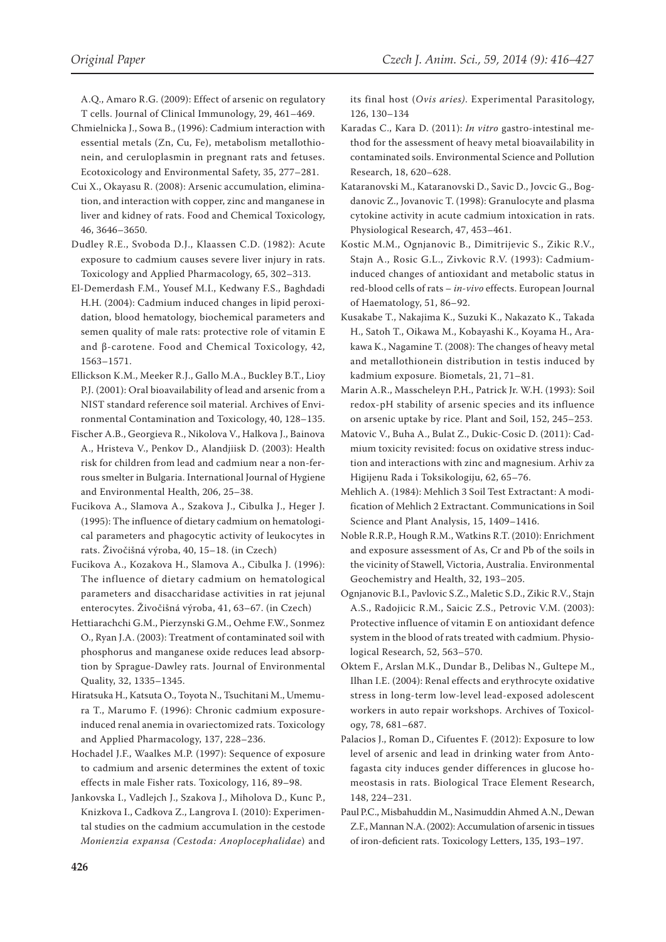- Chmielnicka J., Sowa B., (1996): Cadmium interaction with essential metals (Zn, Cu, Fe), metabolism metallothionein, and ceruloplasmin in pregnant rats and fetuses. Ecotoxicology and Environmental Safety, 35, 277–281.
- Cui X., Okayasu R. (2008): Arsenic accumulation, elimination, and interaction with copper, zinc and manganese in liver and kidney of rats. Food and Chemical Toxicology, 46, 3646–3650.
- Dudley R.E., Svoboda D.J., Klaassen C.D. (1982): Acute exposure to cadmium causes severe liver injury in rats. Toxicology and Applied Pharmacology, 65, 302–313.
- El-Demerdash F.M., Yousef M.I., Kedwany F.S., Baghdadi H.H. (2004): Cadmium induced changes in lipid peroxidation, blood hematology, biochemical parameters and semen quality of male rats: protective role of vitamin E and β-carotene. Food and Chemical Toxicology, 42, 1563–1571.
- Ellickson K.M., Meeker R.J., Gallo M.A., Buckley B.T., Lioy P.J. (2001): Oral bioavailability of lead and arsenic from a NIST standard reference soil material. Archives of Environmental Contamination and Toxicology, 40, 128–135.
- Fischer A.B., Georgieva R., Nikolova V., Halkova J., Bainova A., Hristeva V., Penkov D., Alandjiisk D. (2003): Health risk for children from lead and cadmium near a non-ferrous smelter in Bulgaria. International Journal of Hygiene and Environmental Health, 206, 25–38.
- Fucikova A., Slamova A., Szakova J., Cibulka J., Heger J. (1995): The influence of dietary cadmium on hematological parameters and phagocytic activity of leukocytes in rats. Živočišná výroba, 40, 15–18. (in Czech)
- Fucikova A., Kozakova H., Slamova A., Cibulka J. (1996): The influence of dietary cadmium on hematological parameters and disaccharidase activities in rat jejunal enterocytes. Živočišná výroba, 41, 63–67. (in Czech)
- Hettiarachchi G.M., Pierzynski G.M., Oehme F.W., Sonmez O., Ryan J.A. (2003): Treatment of contaminated soil with phosphorus and manganese oxide reduces lead absorption by Sprague-Dawley rats. Journal of Environmental Quality, 32, 1335–1345.
- Hiratsuka H., Katsuta O., Toyota N., Tsuchitani M., Umemura T., Marumo F. (1996): Chronic cadmium exposureinduced renal anemia in ovariectomized rats. Toxicology and Applied Pharmacology, 137, 228–236.
- Hochadel J.F., Waalkes M.P. (1997): Sequence of exposure to cadmium and arsenic determines the extent of toxic effects in male Fisher rats. Toxicology, 116, 89–98.
- Jankovska I., Vadlejch J., Szakova J., Miholova D., Kunc P., Knizkova I., Cadkova Z., Langrova I. (2010): Experimental studies on the cadmium accumulation in the cestode *Monienzia expansa (Cestoda: Anoplocephalidae*) and

its final host (*Ovis aries)*. Experimental Parasitology,

- 126, 130–134 Karadas C., Kara D. (2011): *In vitro* gastro-intestinal method for the assessment of heavy metal bioavailability in contaminated soils. Environmental Science and Pollution Research, 18, 620–628.
- Kataranovski M., Kataranovski D., Savic D., Jovcic G., Bogdanovic Z., Jovanovic T. (1998): Granulocyte and plasma cytokine activity in acute cadmium intoxication in rats. Physiological Research, 47, 453–461.
- Kostic M.M., Ognjanovic B., Dimitrijevic S., Zikic R.V., Stajn A., Rosic G.L., Zivkovic R.V. (1993): Cadmiuminduced changes of antioxidant and metabolic status in red-blood cells of rats – *in-vivo* effects. European Journal of Haematology, 51, 86–92.
- Kusakabe T., Nakajima K., Suzuki K., Nakazato K., Takada H., Satoh T., Oikawa M., Kobayashi K., Koyama H., Arakawa K., Nagamine T. (2008): The changes of heavy metal and metallothionein distribution in testis induced by kadmium exposure. Biometals, 21, 71–81.
- Marin A.R., Masscheleyn P.H., Patrick Jr. W.H. (1993): Soil redox-pH stability of arsenic species and its influence on arsenic uptake by rice. Plant and Soil, 152, 245–253.
- Matovic V., Buha A., Bulat Z., Dukic-Cosic D. (2011): Cadmium toxicity revisited: focus on oxidative stress induction and interactions with zinc and magnesium. Arhiv za Higijenu Rada i Toksikologiju, 62, 65–76.
- Mehlich A. (1984): Mehlich 3 Soil Test Extractant: A modification of Mehlich 2 Extractant. Communications in Soil Science and Plant Analysis, 15, 1409–1416.
- Noble R.R.P., Hough R.M., Watkins R.T. (2010): Enrichment and exposure assessment of As, Cr and Pb of the soils in the vicinity of Stawell, Victoria, Australia. Environmental Geochemistry and Health, 32, 193–205.
- Ognjanovic B.I., Pavlovic S.Z., Maletic S.D., Zikic R.V., Stajn A.S., Radojicic R.M., Saicic Z.S., Petrovic V.M. (2003): Protective influence of vitamin E on antioxidant defence system in the blood of rats treated with cadmium. Physiological Research, 52, 563–570.
- Oktem F., Arslan M.K., Dundar B., Delibas N., Gultepe M., Ilhan I.E. (2004): Renal effects and erythrocyte oxidative stress in long-term low-level lead-exposed adolescent workers in auto repair workshops. Archives of Toxicology, 78, 681–687.
- Palacios J., Roman D., Cifuentes F. (2012): Exposure to low level of arsenic and lead in drinking water from Antofagasta city induces gender differences in glucose homeostasis in rats. Biological Trace Element Research, 148, 224–231.
- Paul P.C., Misbahuddin M., Nasimuddin Ahmed A.N., Dewan Z.F., Mannan N.A. (2002): Accumulation of arsenic in tissues of iron-deficient rats. Toxicology Letters, 135, 193–197.